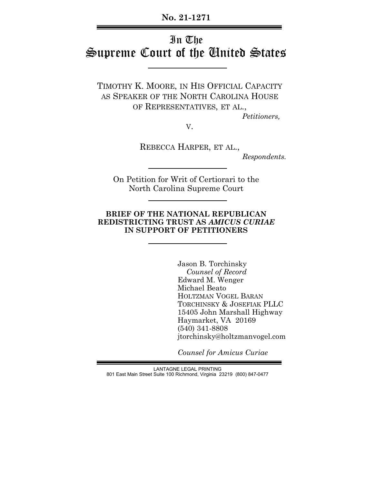**No. 21-1271**

# In The Supreme Court of the United States

TIMOTHY K. MOORE, IN HIS OFFICIAL CAPACITY AS SPEAKER OF THE NORTH CAROLINA HOUSE OF REPRESENTATIVES, ET AL.,

 *Petitioners,*

V.

REBECCA HARPER, ET AL.,  *Respondents.*

On Petition for Writ of Certiorari to the North Carolina Supreme Court

#### **BRIEF OF THE NATIONAL REPUBLICAN REDISTRICTING TRUST AS** *AMICUS CURIAE* **IN SUPPORT OF PETITIONERS**

Jason B. Torchinsky  *Counsel of Record* Edward M. Wenger Michael Beato HOLTZMAN VOGEL BARAN TORCHINSKY & JOSEFIAK PLLC 15405 John Marshall Highway Haymarket, VA 20169 (540) 341-8808 jtorchinsky@holtzmanvogel.com

 *Counsel for Amicus Curiae*

LANTAGNE LEGAL PRINTING 801 East Main Street Suite 100 Richmond, Virginia 23219 (800) 847-0477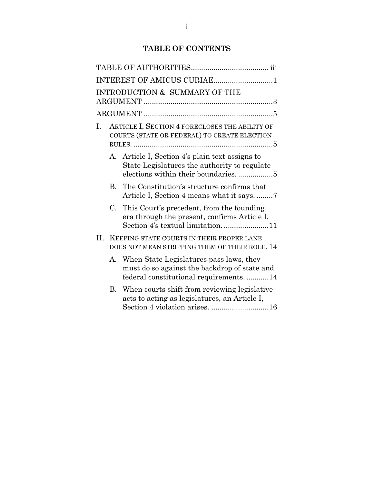# **TABLE OF CONTENTS**

|    |                                                                                             | INTEREST OF AMICUS CURIAE1                                                                                                         |  |
|----|---------------------------------------------------------------------------------------------|------------------------------------------------------------------------------------------------------------------------------------|--|
|    |                                                                                             | INTRODUCTION & SUMMARY OF THE                                                                                                      |  |
|    |                                                                                             |                                                                                                                                    |  |
| Ι. |                                                                                             | ARTICLE I, SECTION 4 FORECLOSES THE ABILITY OF<br>COURTS (STATE OR FEDERAL) TO CREATE ELECTION                                     |  |
|    | A.                                                                                          | Article I, Section 4's plain text assigns to<br>State Legislatures the authority to regulate<br>elections within their boundaries5 |  |
|    | B.                                                                                          | The Constitution's structure confirms that<br>Article I, Section 4 means what it says.                                             |  |
|    |                                                                                             | C. This Court's precedent, from the founding<br>era through the present, confirms Article I,<br>Section 4's textual limitation11   |  |
| Н. | KEEPING STATE COURTS IN THEIR PROPER LANE<br>DOES NOT MEAN STRIPPING THEM OF THEIR ROLE, 14 |                                                                                                                                    |  |
|    | $A_{-}$                                                                                     | When State Legislatures pass laws, they<br>must do so against the backdrop of state and<br>federal constitutional requirements14   |  |
|    | $\bf{B}$                                                                                    | When courts shift from reviewing legislative<br>acts to acting as legislatures, an Article I,<br>Section 4 violation arises. 16    |  |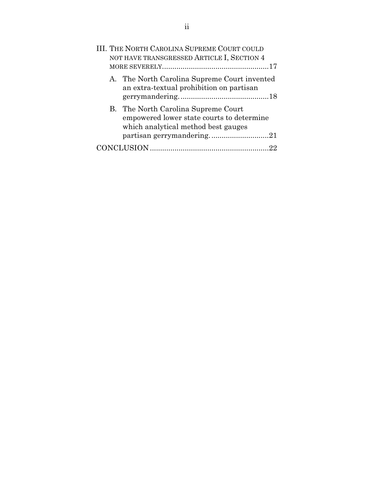| III. THE NORTH CAROLINA SUPREME COURT COULD<br>NOT HAVE TRANSGRESSED ARTICLE I, SECTION 4 |                                                                                                                                                      |  |
|-------------------------------------------------------------------------------------------|------------------------------------------------------------------------------------------------------------------------------------------------------|--|
|                                                                                           | A. The North Carolina Supreme Court invented<br>an extra-textual prohibition on partisan                                                             |  |
|                                                                                           | B. The North Carolina Supreme Court<br>empowered lower state courts to determine<br>which analytical method best gauges<br>partisan gerrymandering21 |  |
|                                                                                           | 22                                                                                                                                                   |  |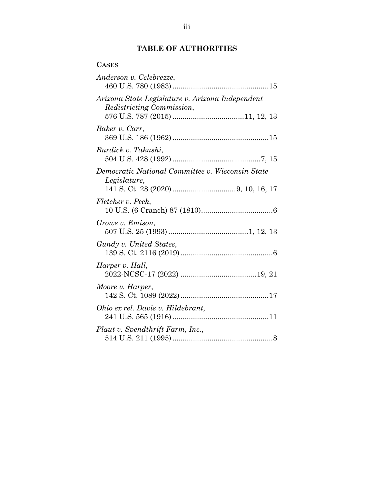# **TABLE OF AUTHORITIES**

# **CASES**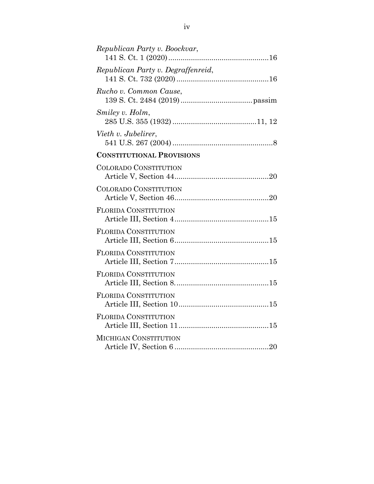| Republican Party v. Boockvar,      |
|------------------------------------|
| Republican Party v. Degraffenreid, |
| Rucho v. Common Cause,             |
| Smiley v. Holm,                    |
| Vieth v. Jubelirer,                |
| <b>CONSTITUTIONAL PROVISIONS</b>   |
| <b>COLORADO CONSTITUTION</b>       |
| <b>COLORADO CONSTITUTION</b>       |
| <b>FLORIDA CONSTITUTION</b>        |
| <b>FLORIDA CONSTITUTION</b>        |
| <b>FLORIDA CONSTITUTION</b>        |
| <b>FLORIDA CONSTITUTION</b>        |
| <b>FLORIDA CONSTITUTION</b>        |
| <b>FLORIDA CONSTITUTION</b>        |
| <b>MICHIGAN CONSTITUTION</b>       |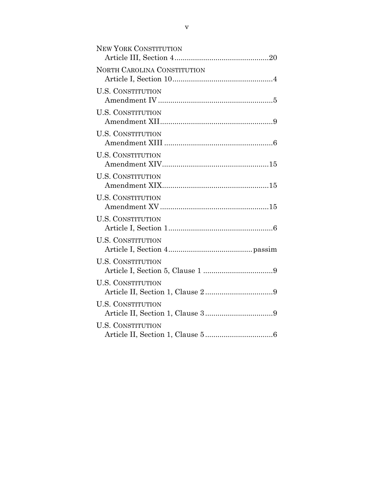| <b>NEW YORK CONSTITUTION</b> |
|------------------------------|
| NORTH CAROLINA CONSTITUTION  |
| <b>U.S. CONSTITUTION</b>     |
| <b>U.S. CONSTITUTION</b>     |
| <b>U.S. CONSTITUTION</b>     |
| <b>U.S. CONSTITUTION</b>     |
| <b>U.S. CONSTITUTION</b>     |
| <b>U.S. CONSTITUTION</b>     |
| <b>U.S. CONSTITUTION</b>     |
| <b>U.S. CONSTITUTION</b>     |
| <b>U.S. CONSTITUTION</b>     |
| <b>U.S. CONSTITUTION</b>     |
| <b>U.S. CONSTITUTION</b>     |
| <b>U.S. CONSTITUTION</b>     |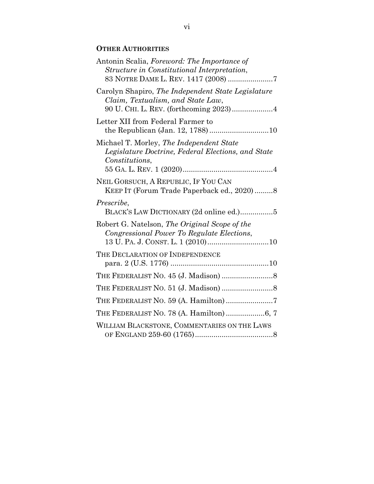# **OTHER AUTHORITIES**

| Antonin Scalia, Foreword: The Importance of<br>Structure in Constitutional Interpretation,<br>83 NOTRE DAME L. REV. 1417 (2008) 7 |
|-----------------------------------------------------------------------------------------------------------------------------------|
| Carolyn Shapiro, The Independent State Legislature<br>Claim, Textualism, and State Law,<br>90 U. CHI. L. REV. (forthcoming 2023)4 |
| Letter XII from Federal Farmer to                                                                                                 |
| Michael T. Morley, The Independent State<br>Legislature Doctrine, Federal Elections, and State<br>Constitutions,                  |
| NEIL GORSUCH, A REPUBLIC, IF YOU CAN<br>KEEP IT (Forum Trade Paperback ed., 2020)8                                                |
| Prescribe,<br>BLACK'S LAW DICTIONARY (2d online ed.)5                                                                             |
| Robert G. Natelson, The Original Scope of the<br>Congressional Power To Regulate Elections,                                       |
| THE DECLARATION OF INDEPENDENCE                                                                                                   |
|                                                                                                                                   |
|                                                                                                                                   |
|                                                                                                                                   |
| THE FEDERALIST NO. 78 (A. Hamilton) 6, 7                                                                                          |
| WILLIAM BLACKSTONE, COMMENTARIES ON THE LAWS                                                                                      |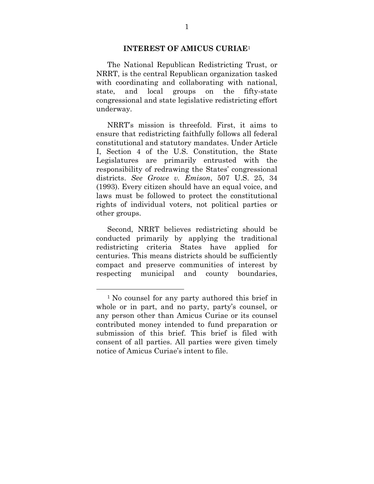#### **INTEREST OF AMICUS CURIAE**<sup>1</sup>

The National Republican Redistricting Trust, or NRRT, is the central Republican organization tasked with coordinating and collaborating with national, state, and local groups on the fifty-state congressional and state legislative redistricting effort underway.

NRRT's mission is threefold. First, it aims to ensure that redistricting faithfully follows all federal constitutional and statutory mandates. Under Article I, Section 4 of the U.S. Constitution, the State Legislatures are primarily entrusted with the responsibility of redrawing the States' congressional districts. *See Growe v. Emison*, 507 U.S. 25, 34 (1993). Every citizen should have an equal voice, and laws must be followed to protect the constitutional rights of individual voters, not political parties or other groups.

Second, NRRT believes redistricting should be conducted primarily by applying the traditional redistricting criteria States have applied for centuries. This means districts should be sufficiently compact and preserve communities of interest by respecting municipal and county boundaries,

 $\overline{a}$ 

<sup>1</sup> No counsel for any party authored this brief in whole or in part, and no party, party's counsel, or any person other than Amicus Curiae or its counsel contributed money intended to fund preparation or submission of this brief. This brief is filed with consent of all parties. All parties were given timely notice of Amicus Curiae's intent to file.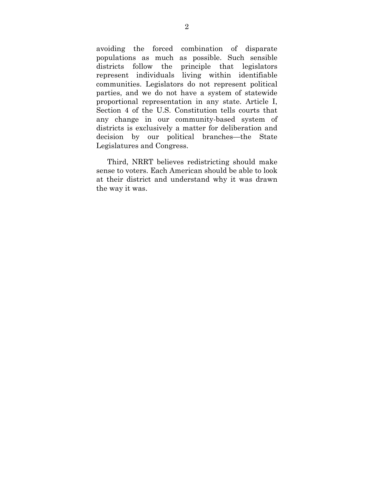avoiding the forced combination of disparate populations as much as possible. Such sensible districts follow the principle that legislators represent individuals living within identifiable communities. Legislators do not represent political parties, and we do not have a system of statewide proportional representation in any state. Article I, Section 4 of the U.S. Constitution tells courts that any change in our community-based system of districts is exclusively a matter for deliberation and decision by our political branches—the State Legislatures and Congress.

Third, NRRT believes redistricting should make sense to voters. Each American should be able to look at their district and understand why it was drawn the way it was.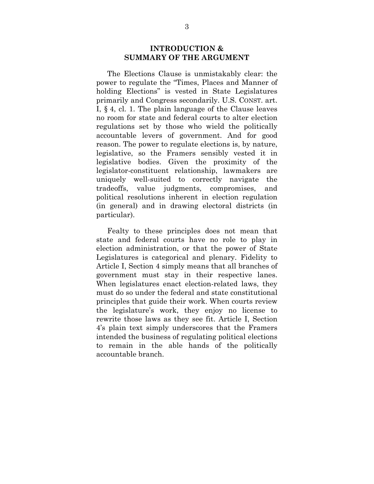#### **INTRODUCTION & SUMMARY OF THE ARGUMENT**

The Elections Clause is unmistakably clear: the power to regulate the "Times, Places and Manner of holding Elections" is vested in State Legislatures primarily and Congress secondarily. U.S. CONST. art. I, § 4, cl. 1. The plain language of the Clause leaves no room for state and federal courts to alter election regulations set by those who wield the politically accountable levers of government. And for good reason. The power to regulate elections is, by nature, legislative, so the Framers sensibly vested it in legislative bodies. Given the proximity of the legislator-constituent relationship, lawmakers are uniquely well-suited to correctly navigate the tradeoffs, value judgments, compromises, and political resolutions inherent in election regulation (in general) and in drawing electoral districts (in particular).

Fealty to these principles does not mean that state and federal courts have no role to play in election administration, or that the power of State Legislatures is categorical and plenary. Fidelity to Article I, Section 4 simply means that all branches of government must stay in their respective lanes. When legislatures enact election-related laws, they must do so under the federal and state constitutional principles that guide their work. When courts review the legislature's work, they enjoy no license to rewrite those laws as they see fit. Article I, Section 4's plain text simply underscores that the Framers intended the business of regulating political elections to remain in the able hands of the politically accountable branch.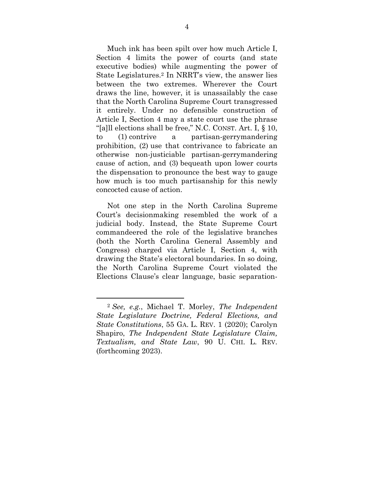Much ink has been spilt over how much Article I, Section 4 limits the power of courts (and state executive bodies) while augmenting the power of State Legislatures.2 In NRRT's view, the answer lies between the two extremes. Wherever the Court draws the line, however, it is unassailably the case that the North Carolina Supreme Court transgressed it entirely. Under no defensible construction of Article I, Section 4 may a state court use the phrase "[a]ll elections shall be free," N.C. CONST. Art. I, § 10, to (1) contrive a partisan-gerrymandering prohibition, (2) use that contrivance to fabricate an otherwise non-justiciable partisan-gerrymandering cause of action, and (3) bequeath upon lower courts the dispensation to pronounce the best way to gauge how much is too much partisanship for this newly concocted cause of action.

Not one step in the North Carolina Supreme Court's decisionmaking resembled the work of a judicial body. Instead, the State Supreme Court commandeered the role of the legislative branches (both the North Carolina General Assembly and Congress) charged via Article I, Section 4, with drawing the State's electoral boundaries. In so doing, the North Carolina Supreme Court violated the Elections Clause's clear language, basic separation-

 $\overline{a}$ 

<sup>2</sup> *See, e.g.*, Michael T. Morley, *The Independent State Legislature Doctrine, Federal Elections, and State Constitutions*, 55 GA. L. REV. 1 (2020); Carolyn Shapiro, *The Independent State Legislature Claim, Textualism, and State Law*, 90 U. CHI. L. REV. (forthcoming 2023).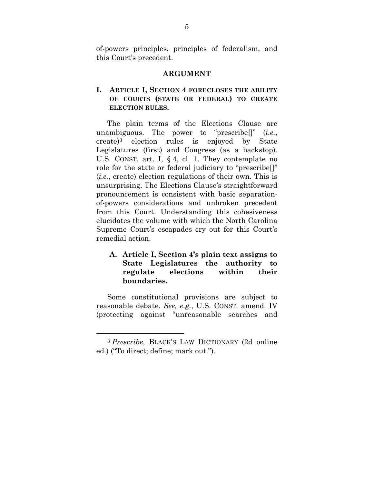of-powers principles, principles of federalism, and this Court's precedent.

#### **ARGUMENT**

## **I. ARTICLE I, SECTION 4 FORECLOSES THE ABILITY OF COURTS (STATE OR FEDERAL) TO CREATE ELECTION RULES.**

The plain terms of the Elections Clause are unambiguous. The power to "prescribe[]" (*i.e.*, create)3 election rules is enjoyed by State Legislatures (first) and Congress (as a backstop). U.S. CONST. art. I, § 4, cl. 1. They contemplate no role for the state or federal judiciary to "prescribe[]" (*i.e.*, create) election regulations of their own. This is unsurprising. The Elections Clause's straightforward pronouncement is consistent with basic separationof-powers considerations and unbroken precedent from this Court. Understanding this cohesiveness elucidates the volume with which the North Carolina Supreme Court's escapades cry out for this Court's remedial action.

## **A. Article I, Section 4's plain text assigns to State Legislatures the authority to regulate elections within their boundaries.**

Some constitutional provisions are subject to reasonable debate. *See, e.g.*, U.S. CONST. amend. IV (protecting against "unreasonable searches and

 $\overline{a}$ 

<sup>3</sup> *Prescribe*, BLACK'S LAW DICTIONARY (2d online ed.) ("To direct; define; mark out.").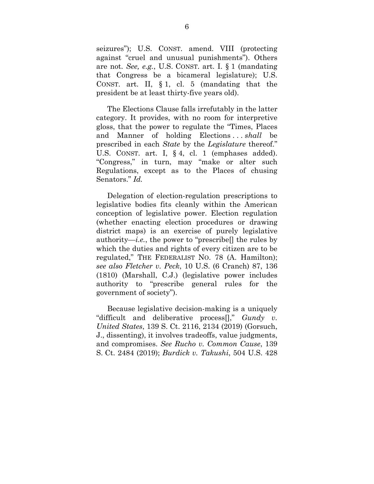seizures"); U.S. CONST. amend. VIII (protecting against "cruel and unusual punishments"). Others are not. *See, e.g.*, U.S. CONST. art. I. § 1 (mandating that Congress be a bicameral legislature); U.S. CONST. art. II, § 1, cl. 5 (mandating that the president be at least thirty-five years old).

The Elections Clause falls irrefutably in the latter category. It provides, with no room for interpretive gloss, that the power to regulate the "Times, Places and Manner of holding Elections . . . *shall* be prescribed in each *State* by the *Legislature* thereof." U.S. CONST. art. I, § 4, cl. 1 (emphases added). "Congress," in turn, may "make or alter such Regulations, except as to the Places of chusing Senators." *Id.*

Delegation of election-regulation prescriptions to legislative bodies fits cleanly within the American conception of legislative power. Election regulation (whether enacting election procedures or drawing district maps) is an exercise of purely legislative authority—*i.e.*, the power to "prescribe<sup>[]</sup> the rules by which the duties and rights of every citizen are to be regulated," THE FEDERALIST NO. 78 (A. Hamilton); *see also Fletcher v. Peck*, 10 U.S. (6 Cranch) 87, 136 (1810) (Marshall, C.J.) (legislative power includes authority to "prescribe general rules for the government of society").

Because legislative decision-making is a uniquely "difficult and deliberative process[]," *Gundy v. United States*, 139 S. Ct. 2116, 2134 (2019) (Gorsuch, J., dissenting), it involves tradeoffs, value judgments, and compromises. *See Rucho v. Common Cause*, 139 S. Ct. 2484 (2019); *Burdick v. Takushi*, 504 U.S. 428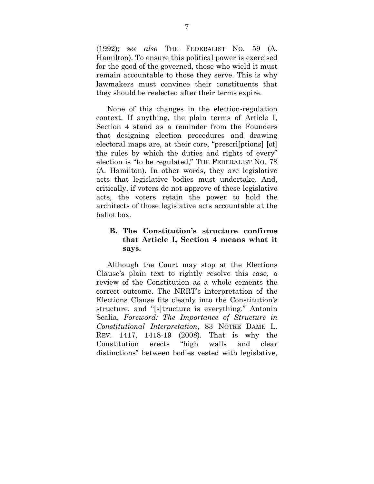(1992); *see also* THE FEDERALIST NO. 59 (A. Hamilton). To ensure this political power is exercised for the good of the governed, those who wield it must remain accountable to those they serve. This is why lawmakers must convince their constituents that they should be reelected after their terms expire.

None of this changes in the election-regulation context. If anything, the plain terms of Article I, Section 4 stand as a reminder from the Founders that designing election procedures and drawing electoral maps are, at their core, "prescri[ptions] [of] the rules by which the duties and rights of every" election is "to be regulated," THE FEDERALIST NO. 78 (A. Hamilton). In other words, they are legislative acts that legislative bodies must undertake. And, critically, if voters do not approve of these legislative acts, the voters retain the power to hold the architects of those legislative acts accountable at the ballot box.

### **B. The Constitution's structure confirms that Article I, Section 4 means what it says.**

Although the Court may stop at the Elections Clause's plain text to rightly resolve this case, a review of the Constitution as a whole cements the correct outcome. The NRRT's interpretation of the Elections Clause fits cleanly into the Constitution's structure, and "[s]tructure is everything." Antonin Scalia, *Foreword: The Importance of Structure in Constitutional Interpretation*, 83 NOTRE DAME L. REV. 1417, 1418-19 (2008). That is why the Constitution erects "high walls and clear distinctions" between bodies vested with legislative,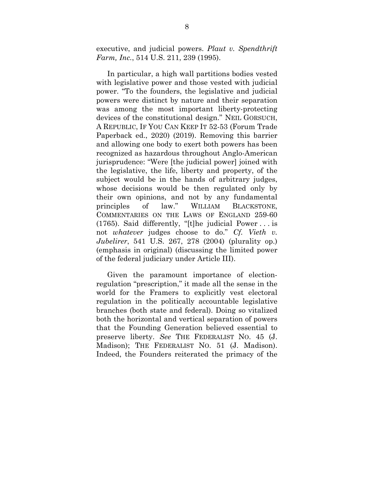executive, and judicial powers. *Plaut v. Spendthrift Farm, Inc.*, 514 U.S. 211, 239 (1995).

In particular, a high wall partitions bodies vested with legislative power and those vested with judicial power. "To the founders, the legislative and judicial powers were distinct by nature and their separation was among the most important liberty-protecting devices of the constitutional design." NEIL GORSUCH, A REPUBLIC, IF YOU CAN KEEP IT 52-53 (Forum Trade Paperback ed., 2020) (2019). Removing this barrier and allowing one body to exert both powers has been recognized as hazardous throughout Anglo-American jurisprudence: "Were [the judicial power] joined with the legislative, the life, liberty and property, of the subject would be in the hands of arbitrary judges, whose decisions would be then regulated only by their own opinions, and not by any fundamental principles of law." WILLIAM BLACKSTONE, COMMENTARIES ON THE LAWS OF ENGLAND 259-60 (1765). Said differently, "[t]he judicial Power . . . is not *whatever* judges choose to do." *Cf. Vieth v. Jubelirer*, 541 U.S. 267, 278 (2004) (plurality op.) (emphasis in original) (discussing the limited power of the federal judiciary under Article III).

Given the paramount importance of electionregulation "prescription," it made all the sense in the world for the Framers to explicitly vest electoral regulation in the politically accountable legislative branches (both state and federal). Doing so vitalized both the horizontal and vertical separation of powers that the Founding Generation believed essential to preserve liberty. *See* THE FEDERALIST NO. 45 (J. Madison); THE FEDERALIST NO. 51 (J. Madison). Indeed, the Founders reiterated the primacy of the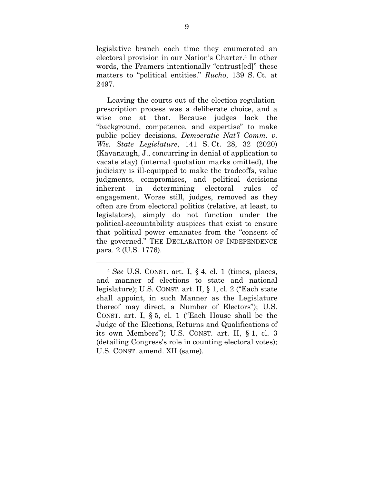legislative branch each time they enumerated an electoral provision in our Nation's Charter.4 In other words, the Framers intentionally "entrust[ed]" these matters to "political entities." *Rucho*, 139 S. Ct. at 2497.

Leaving the courts out of the election-regulationprescription process was a deliberate choice, and a wise one at that. Because judges lack the "background, competence, and expertise" to make public policy decisions, *Democratic Nat'l Comm. v. Wis. State Legislature*, 141 S. Ct. 28, 32 (2020) (Kavanaugh, J., concurring in denial of application to vacate stay) (internal quotation marks omitted), the judiciary is ill-equipped to make the tradeoffs, value judgments, compromises, and political decisions inherent in determining electoral rules of engagement. Worse still, judges, removed as they often are from electoral politics (relative, at least, to legislators), simply do not function under the political-accountability auspices that exist to ensure that political power emanates from the "consent of the governed." THE DECLARATION OF INDEPENDENCE para. 2 (U.S. 1776).

 $\overline{a}$ 

<sup>4</sup> *See* U.S. CONST. art. I, § 4, cl. 1 (times, places, and manner of elections to state and national legislature); U.S. CONST. art. II, § 1, cl. 2 ("Each state shall appoint, in such Manner as the Legislature thereof may direct, a Number of Electors"); U.S. CONST. art. I, § 5, cl. 1 ("Each House shall be the Judge of the Elections, Returns and Qualifications of its own Members"); U.S. CONST. art. II, § 1, cl. 3 (detailing Congress's role in counting electoral votes); U.S. CONST. amend. XII (same).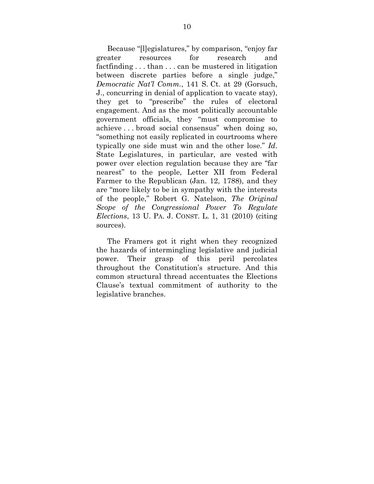Because "[l]egislatures," by comparison, "enjoy far greater resources for research and factfinding . . . than . . . can be mustered in litigation between discrete parties before a single judge," *Democratic Nat'l Comm.*, 141 S. Ct. at 29 (Gorsuch, J., concurring in denial of application to vacate stay), they get to "prescribe" the rules of electoral engagement. And as the most politically accountable government officials, they "must compromise to achieve . . . broad social consensus" when doing so, "something not easily replicated in courtrooms where typically one side must win and the other lose." *Id*. State Legislatures, in particular, are vested with power over election regulation because they are "far nearest" to the people, Letter XII from Federal Farmer to the Republican (Jan. 12, 1788), and they are "more likely to be in sympathy with the interests of the people," Robert G. Natelson, *The Original Scope of the Congressional Power To Regulate Elections*, 13 U. PA. J. CONST. L. 1, 31 (2010) (citing sources).

The Framers got it right when they recognized the hazards of intermingling legislative and judicial power. Their grasp of this peril percolates throughout the Constitution's structure. And this common structural thread accentuates the Elections Clause's textual commitment of authority to the legislative branches.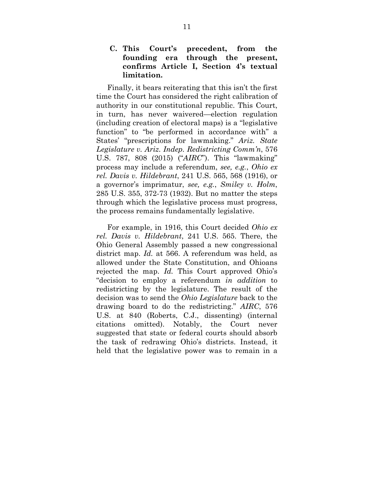**C. This Court's precedent, from the founding era through the present, confirms Article I, Section 4's textual limitation.** 

Finally, it bears reiterating that this isn't the first time the Court has considered the right calibration of authority in our constitutional republic. This Court, in turn, has never waivered—election regulation (including creation of electoral maps) is a "legislative function" to "be performed in accordance with" a States' "prescriptions for lawmaking." *Ariz. State Legislature v. Ariz. Indep. Redistricting Comm'n*, 576 U.S. 787, 808 (2015) ("*AIRC*"). This "lawmaking" process may include a referendum, *see, e.g.*, *Ohio ex rel. Davis v. Hildebrant*, 241 U.S. 565, 568 (1916), or a governor's imprimatur, *see, e.g.*, *Smiley v. Holm*, 285 U.S. 355, 372-73 (1932). But no matter the steps through which the legislative process must progress, the process remains fundamentally legislative.

For example, in 1916, this Court decided *Ohio ex rel. Davis v. Hildebrant*, 241 U.S. 565. There, the Ohio General Assembly passed a new congressional district map. *Id.* at 566. A referendum was held, as allowed under the State Constitution, and Ohioans rejected the map. *Id.* This Court approved Ohio's "decision to employ a referendum *in addition* to redistricting by the legislature. The result of the decision was to send the *Ohio Legislature* back to the drawing board to do the redistricting." *AIRC*, 576 U.S. at 840 (Roberts, C.J., dissenting) (internal citations omitted). Notably, the Court never suggested that state or federal courts should absorb the task of redrawing Ohio's districts. Instead, it held that the legislative power was to remain in a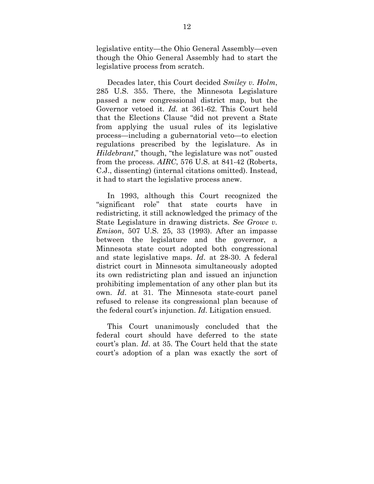legislative entity—the Ohio General Assembly—even though the Ohio General Assembly had to start the legislative process from scratch.

Decades later, this Court decided *Smiley v. Holm*, 285 U.S. 355. There, the Minnesota Legislature passed a new congressional district map, but the Governor vetoed it. *Id.* at 361-62. This Court held that the Elections Clause "did not prevent a State from applying the usual rules of its legislative process—including a gubernatorial veto—to election regulations prescribed by the legislature. As in *Hildebrant*," though, "the legislature was not" ousted from the process. *AIRC*, 576 U.S. at 841-42 (Roberts, C.J., dissenting) (internal citations omitted). Instead, it had to start the legislative process anew.

In 1993, although this Court recognized the "significant role" that state courts have in redistricting, it still acknowledged the primacy of the State Legislature in drawing districts. *See Growe v. Emison*, 507 U.S. 25, 33 (1993). After an impasse between the legislature and the governor, a Minnesota state court adopted both congressional and state legislative maps. *Id*. at 28-30. A federal district court in Minnesota simultaneously adopted its own redistricting plan and issued an injunction prohibiting implementation of any other plan but its own. *Id*. at 31. The Minnesota state-court panel refused to release its congressional plan because of the federal court's injunction. *Id*. Litigation ensued.

This Court unanimously concluded that the federal court should have deferred to the state court's plan. *Id*. at 35. The Court held that the state court's adoption of a plan was exactly the sort of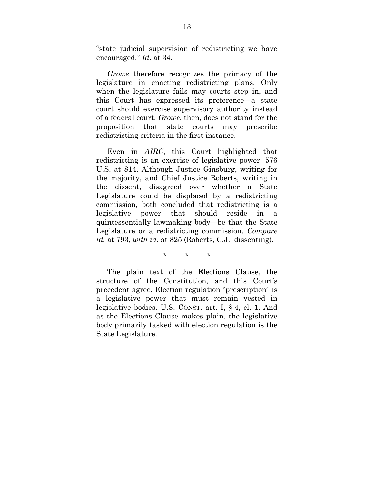"state judicial supervision of redistricting we have encouraged." *Id*. at 34.

*Growe* therefore recognizes the primacy of the legislature in enacting redistricting plans. Only when the legislature fails may courts step in, and this Court has expressed its preference—a state court should exercise supervisory authority instead of a federal court. *Growe*, then, does not stand for the proposition that state courts may prescribe redistricting criteria in the first instance.

Even in *AIRC*, this Court highlighted that redistricting is an exercise of legislative power. 576 U.S. at 814. Although Justice Ginsburg, writing for the majority, and Chief Justice Roberts, writing in the dissent, disagreed over whether a State Legislature could be displaced by a redistricting commission, both concluded that redistricting is a legislative power that should reside in a quintessentially lawmaking body—be that the State Legislature or a redistricting commission. *Compare id.* at 793, *with id.* at 825 (Roberts, C.J., dissenting).

\* \* \*

The plain text of the Elections Clause, the structure of the Constitution, and this Court's precedent agree. Election regulation "prescription" is a legislative power that must remain vested in legislative bodies. U.S. CONST. art. I, § 4, cl. 1. And as the Elections Clause makes plain, the legislative body primarily tasked with election regulation is the State Legislature.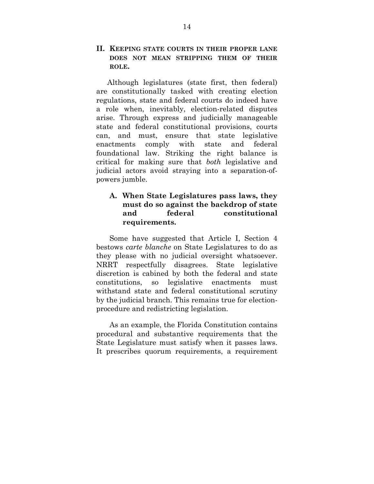#### **II. KEEPING STATE COURTS IN THEIR PROPER LANE DOES NOT MEAN STRIPPING THEM OF THEIR ROLE.**

Although legislatures (state first, then federal) are constitutionally tasked with creating election regulations, state and federal courts do indeed have a role when, inevitably, election-related disputes arise. Through express and judicially manageable state and federal constitutional provisions, courts can, and must, ensure that state legislative enactments comply with state and federal foundational law. Striking the right balance is critical for making sure that *both* legislative and judicial actors avoid straying into a separation-ofpowers jumble.

### **A. When State Legislatures pass laws, they must do so against the backdrop of state and federal constitutional requirements.**

Some have suggested that Article I, Section 4 bestows *carte blanche* on State Legislatures to do as they please with no judicial oversight whatsoever. NRRT respectfully disagrees. State legislative discretion is cabined by both the federal and state constitutions, so legislative enactments must withstand state and federal constitutional scrutiny by the judicial branch. This remains true for electionprocedure and redistricting legislation.

As an example, the Florida Constitution contains procedural and substantive requirements that the State Legislature must satisfy when it passes laws. It prescribes quorum requirements, a requirement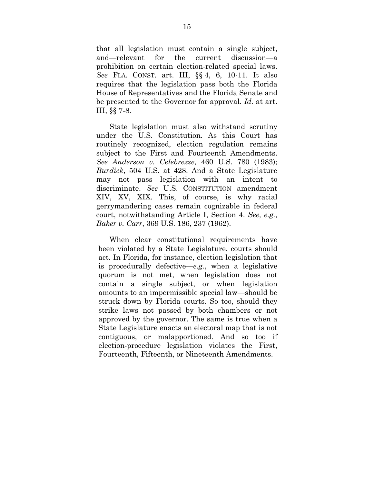that all legislation must contain a single subject, and—relevant for the current discussion—a prohibition on certain election-related special laws. *See* FLA. CONST. art. III, §§ 4, 6, 10-11. It also requires that the legislation pass both the Florida House of Representatives and the Florida Senate and be presented to the Governor for approval. *Id.* at art. III, §§ 7-8.

State legislation must also withstand scrutiny under the U.S. Constitution. As this Court has routinely recognized, election regulation remains subject to the First and Fourteenth Amendments. *See Anderson v. Celebrezze*, 460 U.S. 780 (1983); *Burdick*, 504 U.S. at 428. And a State Legislature may not pass legislation with an intent to discriminate. *See* U.S. CONSTITUTION amendment XIV, XV, XIX. This, of course, is why racial gerrymandering cases remain cognizable in federal court, notwithstanding Article I, Section 4. *See, e.g.*, *Baker v. Carr*, 369 U.S. 186, 237 (1962).

When clear constitutional requirements have been violated by a State Legislature, courts should act. In Florida, for instance, election legislation that is procedurally defective—*e.g.*, when a legislative quorum is not met, when legislation does not contain a single subject, or when legislation amounts to an impermissible special law—should be struck down by Florida courts. So too, should they strike laws not passed by both chambers or not approved by the governor. The same is true when a State Legislature enacts an electoral map that is not contiguous, or malapportioned. And so too if election-procedure legislation violates the First, Fourteenth, Fifteenth, or Nineteenth Amendments.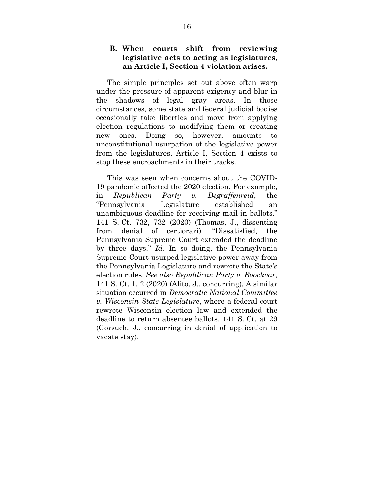#### **B. When courts shift from reviewing legislative acts to acting as legislatures, an Article I, Section 4 violation arises.**

The simple principles set out above often warp under the pressure of apparent exigency and blur in the shadows of legal gray areas. In those circumstances, some state and federal judicial bodies occasionally take liberties and move from applying election regulations to modifying them or creating new ones. Doing so, however, amounts to unconstitutional usurpation of the legislative power from the legislatures. Article I, Section 4 exists to stop these encroachments in their tracks.

This was seen when concerns about the COVID-19 pandemic affected the 2020 election. For example, in *Republican Party v. Degraffenreid*, the "Pennsylvania Legislature established an unambiguous deadline for receiving mail-in ballots." 141 S. Ct. 732, 732 (2020) (Thomas, J., dissenting from denial of certiorari). "Dissatisfied, the Pennsylvania Supreme Court extended the deadline by three days." *Id.* In so doing, the Pennsylvania Supreme Court usurped legislative power away from the Pennsylvania Legislature and rewrote the State's election rules. *See also Republican Party v. Boockvar*, 141 S. Ct. 1, 2 (2020) (Alito, J., concurring). A similar situation occurred in *Democratic National Committee v. Wisconsin State Legislature*, where a federal court rewrote Wisconsin election law and extended the deadline to return absentee ballots. 141 S. Ct. at 29 (Gorsuch, J., concurring in denial of application to vacate stay).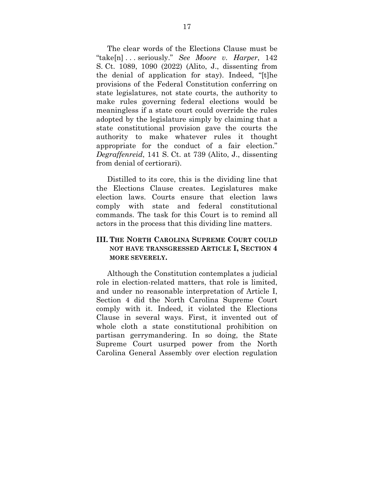The clear words of the Elections Clause must be "take[n] . . . seriously." *See Moore v. Harper*, 142 S. Ct. 1089, 1090 (2022) (Alito, J., dissenting from the denial of application for stay). Indeed, "[t]he provisions of the Federal Constitution conferring on state legislatures, not state courts, the authority to make rules governing federal elections would be meaningless if a state court could override the rules adopted by the legislature simply by claiming that a state constitutional provision gave the courts the authority to make whatever rules it thought appropriate for the conduct of a fair election." *Degraffenreid*, 141 S. Ct. at 739 (Alito, J., dissenting from denial of certiorari).

Distilled to its core, this is the dividing line that the Elections Clause creates. Legislatures make election laws. Courts ensure that election laws comply with state and federal constitutional commands. The task for this Court is to remind all actors in the process that this dividing line matters.

#### **III. THE NORTH CAROLINA SUPREME COURT COULD NOT HAVE TRANSGRESSED ARTICLE I, SECTION 4 MORE SEVERELY.**

Although the Constitution contemplates a judicial role in election-related matters, that role is limited, and under no reasonable interpretation of Article I, Section 4 did the North Carolina Supreme Court comply with it. Indeed, it violated the Elections Clause in several ways. First, it invented out of whole cloth a state constitutional prohibition on partisan gerrymandering. In so doing, the State Supreme Court usurped power from the North Carolina General Assembly over election regulation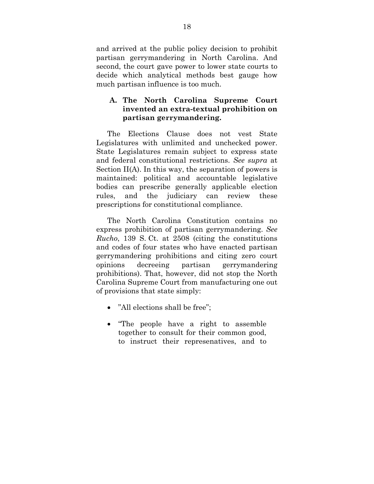and arrived at the public policy decision to prohibit partisan gerrymandering in North Carolina. And second, the court gave power to lower state courts to decide which analytical methods best gauge how much partisan influence is too much.

## **A. The North Carolina Supreme Court invented an extra-textual prohibition on partisan gerrymandering.**

The Elections Clause does not vest State Legislatures with unlimited and unchecked power. State Legislatures remain subject to express state and federal constitutional restrictions. *See supra* at Section II(A). In this way, the separation of powers is maintained: political and accountable legislative bodies can prescribe generally applicable election rules, and the judiciary can review these prescriptions for constitutional compliance.

The North Carolina Constitution contains no express prohibition of partisan gerrymandering. *See Rucho*, 139 S. Ct. at 2508 (citing the constitutions and codes of four states who have enacted partisan gerrymandering prohibitions and citing zero court opinions decreeing partisan gerrymandering prohibitions). That, however, did not stop the North Carolina Supreme Court from manufacturing one out of provisions that state simply:

- "All elections shall be free";
- "The people have a right to assemble together to consult for their common good, to instruct their represenatives, and to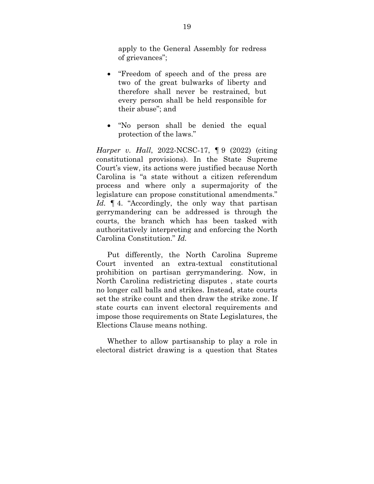apply to the General Assembly for redress of grievances";

- "Freedom of speech and of the press are two of the great bulwarks of liberty and therefore shall never be restrained, but every person shall be held responsible for their abuse"; and
- "No person shall be denied the equal protection of the laws."

*Harper v. Hall*, 2022-NCSC-17, ¶ 9 (2022) (citing constitutional provisions). In the State Supreme Court's view, its actions were justified because North Carolina is "a state without a citizen referendum process and where only a supermajority of the legislature can propose constitutional amendments." Id.  $\parallel$  4. "Accordingly, the only way that partisan gerrymandering can be addressed is through the courts, the branch which has been tasked with authoritatively interpreting and enforcing the North Carolina Constitution." *Id.*

Put differently, the North Carolina Supreme Court invented an extra-textual constitutional prohibition on partisan gerrymandering. Now, in North Carolina redistricting disputes , state courts no longer call balls and strikes. Instead, state courts set the strike count and then draw the strike zone. If state courts can invent electoral requirements and impose those requirements on State Legislatures, the Elections Clause means nothing.

Whether to allow partisanship to play a role in electoral district drawing is a question that States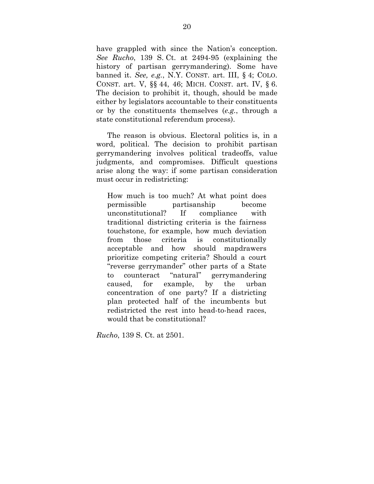have grappled with since the Nation's conception. *See Rucho*, 139 S. Ct. at 2494-95 (explaining the history of partisan gerrymandering). Some have banned it. *See, e.g.*, N.Y. CONST. art. III, § 4; COLO. CONST. art. V, §§ 44, 46; MICH. CONST. art. IV, § 6. The decision to prohibit it, though, should be made either by legislators accountable to their constituents or by the constituents themselves (*e.g.*, through a state constitutional referendum process).

The reason is obvious. Electoral politics is, in a word, political. The decision to prohibit partisan gerrymandering involves political tradeoffs, value judgments, and compromises. Difficult questions arise along the way: if some partisan consideration must occur in redistricting:

How much is too much? At what point does permissible partisanship become unconstitutional? If compliance with traditional districting criteria is the fairness touchstone, for example, how much deviation from those criteria is constitutionally acceptable and how should mapdrawers prioritize competing criteria? Should a court "reverse gerrymander" other parts of a State to counteract "natural" gerrymandering caused, for example, by the urban concentration of one party? If a districting plan protected half of the incumbents but redistricted the rest into head-to-head races, would that be constitutional?

*Rucho*, 139 S. Ct. at 2501.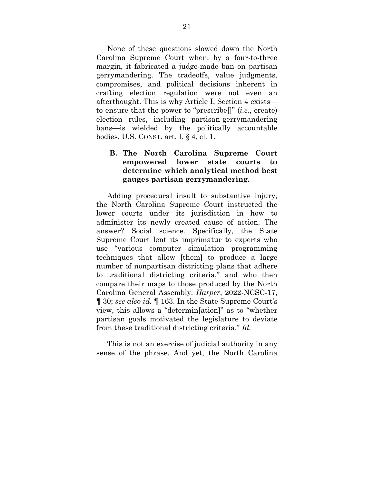None of these questions slowed down the North Carolina Supreme Court when, by a four-to-three margin, it fabricated a judge-made ban on partisan gerrymandering. The tradeoffs, value judgments, compromises, and political decisions inherent in crafting election regulation were not even an afterthought. This is why Article I, Section 4 exists to ensure that the power to "prescribe[]" (*i.e.*, create) election rules, including partisan-gerrymandering bans—is wielded by the politically accountable bodies. U.S. CONST. art. I, § 4, cl. 1.

# **B. The North Carolina Supreme Court empowered lower state courts to determine which analytical method best gauges partisan gerrymandering.**

Adding procedural insult to substantive injury, the North Carolina Supreme Court instructed the lower courts under its jurisdiction in how to administer its newly created cause of action. The answer? Social science. Specifically, the State Supreme Court lent its imprimatur to experts who use "various computer simulation programming techniques that allow [them] to produce a large number of nonpartisan districting plans that adhere to traditional districting criteria," and who then compare their maps to those produced by the North Carolina General Assembly. *Harper*, 2022-NCSC-17, ¶ 30; *see also id.* ¶ 163. In the State Supreme Court's view, this allows a "determin[ation]" as to "whether partisan goals motivated the legislature to deviate from these traditional districting criteria." *Id.*

This is not an exercise of judicial authority in any sense of the phrase. And yet, the North Carolina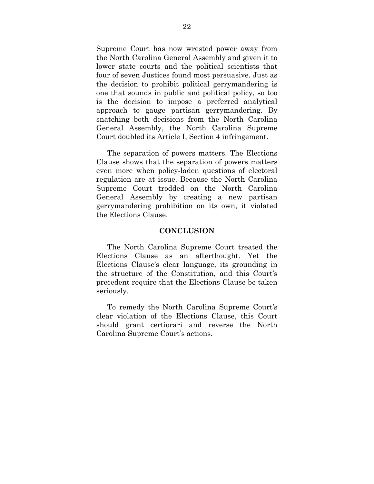Supreme Court has now wrested power away from the North Carolina General Assembly and given it to lower state courts and the political scientists that four of seven Justices found most persuasive. Just as the decision to prohibit political gerrymandering is one that sounds in public and political policy, so too is the decision to impose a preferred analytical approach to gauge partisan gerrymandering. By snatching both decisions from the North Carolina General Assembly, the North Carolina Supreme Court doubled its Article I, Section 4 infringement.

The separation of powers matters. The Elections Clause shows that the separation of powers matters even more when policy-laden questions of electoral regulation are at issue. Because the North Carolina Supreme Court trodded on the North Carolina General Assembly by creating a new partisan gerrymandering prohibition on its own, it violated the Elections Clause.

#### **CONCLUSION**

The North Carolina Supreme Court treated the Elections Clause as an afterthought. Yet the Elections Clause's clear language, its grounding in the structure of the Constitution, and this Court's precedent require that the Elections Clause be taken seriously.

To remedy the North Carolina Supreme Court's clear violation of the Elections Clause, this Court should grant certiorari and reverse the North Carolina Supreme Court's actions.